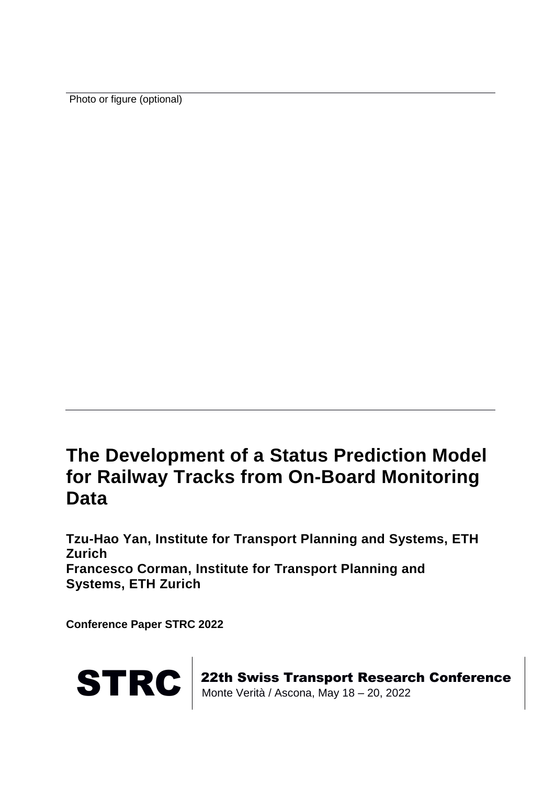Photo or figure (optional)

## **The Development of a Status Prediction Model for Railway Tracks from On-Board Monitoring Data**

**Tzu-Hao Yan, Institute for Transport Planning and Systems, ETH Zurich Francesco Corman, Institute for Transport Planning and Systems, ETH Zurich**

**Conference Paper STRC 2022**



STRC | 22th Swiss Transport Research Conference<br>Monte Verità / Ascona, May 18 – 20, 2022